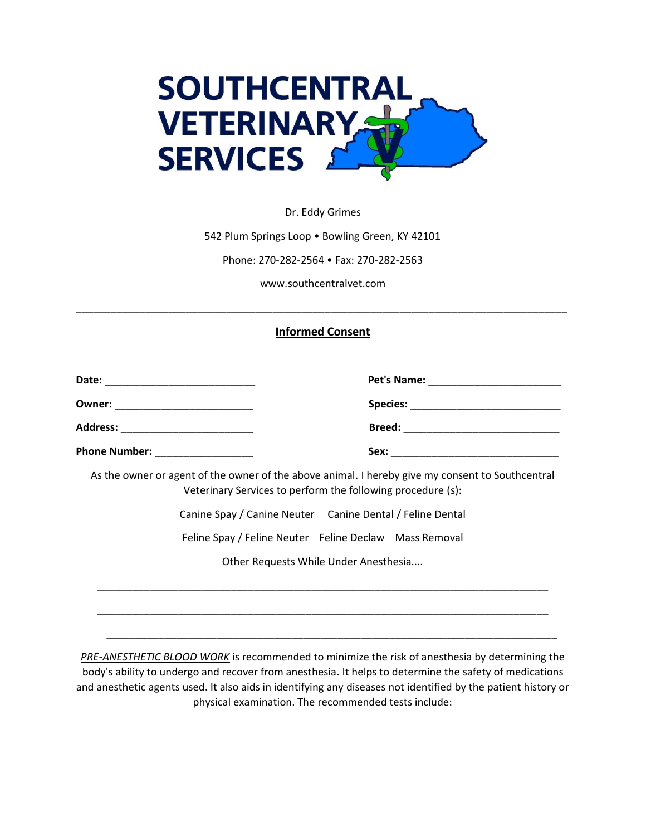

Dr. Eddy Grimes

542 Plum Springs Loop • Bowling Green, KY 42101

Phone: 270-282-2564 • Fax: 270-282-2563

www.southcentralvet.com

## **Informed Consent**

\_\_\_\_\_\_\_\_\_\_\_\_\_\_\_\_\_\_\_\_\_\_\_\_\_\_\_\_\_\_\_\_\_\_\_\_\_\_\_\_\_\_\_\_\_\_\_\_\_\_\_\_\_\_\_\_\_\_\_\_\_\_\_\_\_\_\_\_\_\_\_\_\_\_\_\_\_\_\_\_\_\_\_\_\_

| Address: ____________________________ |                                                                                                                                                                 |
|---------------------------------------|-----------------------------------------------------------------------------------------------------------------------------------------------------------------|
| Phone Number: _________________       |                                                                                                                                                                 |
|                                       | As the owner or agent of the owner of the above animal. I hereby give my consent to Southcentral<br>Veterinary Services to perform the following procedure (s): |
|                                       | Canine Spay / Canine Neuter Canine Dental / Feline Dental                                                                                                       |
|                                       | Feline Spay / Feline Neuter Feline Declaw Mass Removal                                                                                                          |
| Other Requests While Under Anesthesia |                                                                                                                                                                 |
|                                       |                                                                                                                                                                 |
|                                       |                                                                                                                                                                 |
|                                       |                                                                                                                                                                 |

*PRE-ANESTHETIC BLOOD WORK* is recommended to minimize the risk of anesthesia by determining the body's ability to undergo and recover from anesthesia. It helps to determine the safety of medications and anesthetic agents used. It also aids in identifying any diseases not identified by the patient history or physical examination. The recommended tests include:

\_\_\_\_\_\_\_\_\_\_\_\_\_\_\_\_\_\_\_\_\_\_\_\_\_\_\_\_\_\_\_\_\_\_\_\_\_\_\_\_\_\_\_\_\_\_\_\_\_\_\_\_\_\_\_\_\_\_\_\_\_\_\_\_\_\_\_\_\_\_\_\_\_\_\_\_\_\_